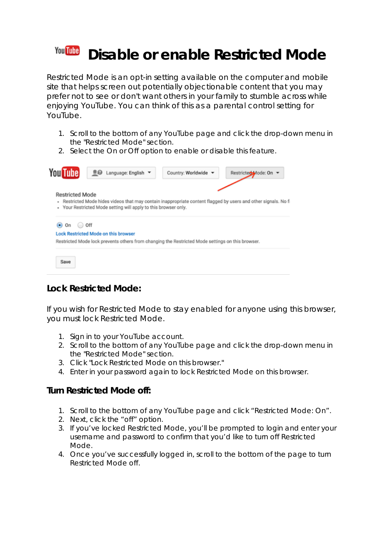#### **You Tube Disable or enable Restricted Mode**

Restricted Mode is an opt-in setting available on the computer and mobile site that helps screen out potentially objectionable content that you may prefer not to see or don't want others in your family to stumble across while enjoying YouTube. You can think of this as a parental control setting for YouTube.

- 1. Scroll to the bottom of any YouTube page and click the drop-down menu in the "Restricted Mode" section.
- 2. Select the On or Off option to enable or disable this feature.



# **Lock Restricted Mode:**

If you wish for Restricted Mode to stay enabled for anyone using this browser, you must lock Restricted Mode.

- 1. Sign in to your YouTube account.
- 2. Scroll to the bottom of any YouTube page and click the drop-down menu in the "Restricted Mode" section.
- 3. Click "Lock Restricted Mode on this browser."
- 4. Enter in your password again to lock Restricted Mode on this browser.

### **Turn Restricted Mode off:**

- 1. Scroll to the bottom of any YouTube page and click "Restricted Mode: On".
- 2. Next, click the "off" option.
- 3. If you've locked Restricted Mode, you'll be prompted to login and enter your username and password to confirm that you'd like to turn off Restricted Mode.
- 4. Once you've successfully logged in, scroll to the bottom of the page to turn Restricted Mode off.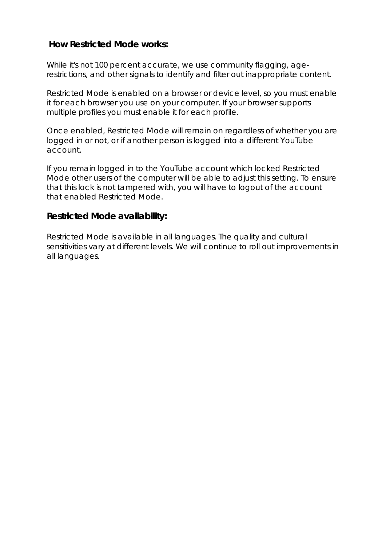### **How Restricted Mode works:**

While it's not 100 percent accurate, we use community flagging, agerestrictions, and other signals to identify and filter out inappropriate content.

Restricted Mode is enabled on a browser or device level, so you must enable it for each browser you use on your computer. If your browser supports multiple profiles you must enable it for each profile.

Once enabled, Restricted Mode will remain on regardless of whether you are logged in or not, or if another person is logged into a different YouTube account.

If you remain logged in to the YouTube account which locked Restricted Mode other users of the computer will be able to adjust this setting. To ensure that this lock is not tampered with, you will have to logout of the account that enabled Restricted Mode.

### **Restricted Mode availability:**

Restricted Mode is available in all languages. The quality and cultural sensitivities vary at different levels. We will continue to roll out improvements in all languages.